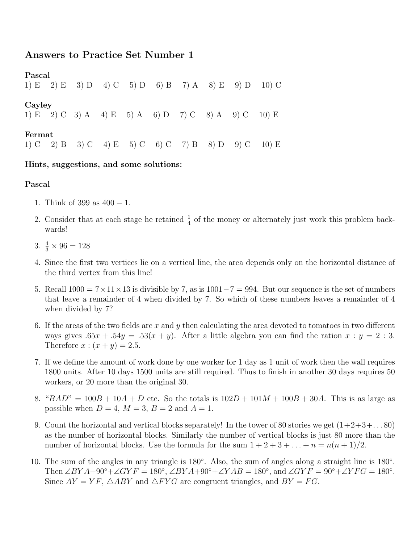# Answers to Practice Set Number 1

Pascal 1) E 2) E 3) D 4) C 5) D 6) B 7) A 8) E 9) D 10) C Cayley 1) E 2) C 3) A 4) E 5) A 6) D 7) C 8) A 9) C 10) E Fermat 1) C 2) B 3) C 4) E 5) C 6) C 7) B 8) D 9) C 10) E

## Hints, suggestions, and some solutions:

### Pascal

- 1. Think of 399 as 400 − 1.
- 2. Consider that at each stage he retained  $\frac{1}{4}$  of the money or alternately just work this problem backwards!
- 3.  $\frac{4}{3} \times 96 = 128$
- 4. Since the first two vertices lie on a vertical line, the area depends only on the horizontal distance of the third vertex from this line!
- 5. Recall  $1000 = 7 \times 11 \times 13$  is divisible by 7, as is  $1001-7 = 994$ . But our sequence is the set of numbers that leave a remainder of 4 when divided by 7. So which of these numbers leaves a remainder of 4 when divided by 7?
- 6. If the areas of the two fields are x and y then calculating the area devoted to tomatoes in two different ways gives  $.65x + .54y = .53(x + y)$ . After a little algebra you can find the ration  $x : y = 2 : 3$ . Therefore  $x:(x+y)=2.5$ .
- 7. If we define the amount of work done by one worker for 1 day as 1 unit of work then the wall requires 1800 units. After 10 days 1500 units are still required. Thus to finish in another 30 days requires 50 workers, or 20 more than the original 30.
- 8. " $BAD'' = 100B + 10A + D$  etc. So the totals is  $102D + 101M + 100B + 30A$ . This is as large as possible when  $D = 4$ ,  $M = 3$ ,  $B = 2$  and  $A = 1$ .
- 9. Count the horizontal and vertical blocks separately! In the tower of 80 stories we get  $(1+2+3+\dots 80)$ as the number of horizontal blocks. Similarly the number of vertical blocks is just 80 more than the number of horizontal blocks. Use the formula for the sum  $1 + 2 + 3 + \ldots + n = n(n + 1)/2$ .
- 10. The sum of the angles in any triangle is 180◦ . Also, the sum of angles along a straight line is 180◦ . Then  $\angle BYA+90^\circ+\angle GYF = 180^\circ$ ,  $\angle BYA+90^\circ+\angle YAB = 180^\circ$ , and  $\angle GYF = 90^\circ+\angle YFG = 180^\circ$ . Since  $AY = YF$ ,  $\triangle ABY$  and  $\triangle FYG$  are congruent triangles, and  $BY = FG$ .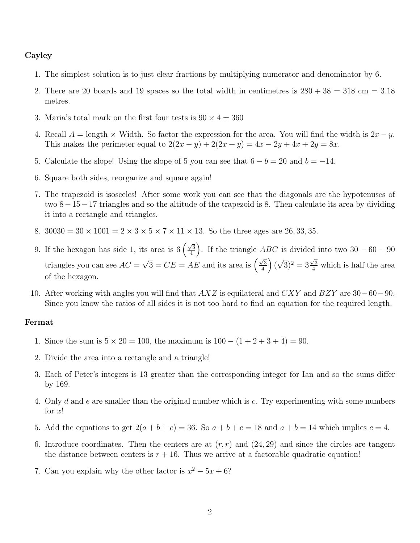### Cayley

- 1. The simplest solution is to just clear fractions by multiplying numerator and denominator by 6.
- 2. There are 20 boards and 19 spaces so the total width in centimetres is  $280 + 38 = 318$  cm = 3.18 metres.
- 3. Maria's total mark on the first four tests is  $90 \times 4 = 360$
- 4. Recall  $A = \text{length} \times \text{Width}$ . So factor the expression for the area. You will find the width is  $2x y$ . This makes the perimeter equal to  $2(2x - y) + 2(2x + y) = 4x - 2y + 4x + 2y = 8x$ .
- 5. Calculate the slope! Using the slope of 5 you can see that  $6 b = 20$  and  $b = -14$ .
- 6. Square both sides, reorganize and square again!
- 7. The trapezoid is isosceles! After some work you can see that the diagonals are the hypotenuses of two 8−15−17 triangles and so the altitude of the trapezoid is 8. Then calculate its area by dividing it into a rectangle and triangles.
- 8.  $30030 = 30 \times 1001 = 2 \times 3 \times 5 \times 7 \times 11 \times 13$ . So the three ages are 26, 33, 35.
- 9. If the hexagon has side 1, its area is  $6\left(\frac{\sqrt{3}}{4}\right)$  $\left(\frac{\sqrt{3}}{4}\right)$ . If the triangle  $ABC$  is divided into two  $30 - 60 - 90$ triangles you can see  $AC =$  $\sqrt{3} = CE = AE$  and its area is  $\left(\frac{\sqrt{3}}{4}\right)$  $\frac{\sqrt{3}}{4}$  ) ( √  $\sqrt{3}$ <sup>2</sup> =  $3\frac{\sqrt{3}}{4}$  which is half the area of the hexagon.
- 10. After working with angles you will find that  $AXZ$  is equilateral and  $CXY$  and  $BZY$  are 30–60–90. Since you know the ratios of all sides it is not too hard to find an equation for the required length.

#### Fermat

- 1. Since the sum is  $5 \times 20 = 100$ , the maximum is  $100 (1 + 2 + 3 + 4) = 90$ .
- 2. Divide the area into a rectangle and a triangle!
- 3. Each of Peter's integers is 13 greater than the corresponding integer for Ian and so the sums differ by 169.
- 4. Only d and e are smaller than the original number which is c. Try experimenting with some numbers for  $x!$
- 5. Add the equations to get  $2(a + b + c) = 36$ . So  $a + b + c = 18$  and  $a + b = 14$  which implies  $c = 4$ .
- 6. Introduce coordinates. Then the centers are at  $(r, r)$  and  $(24, 29)$  and since the circles are tangent the distance between centers is  $r + 16$ . Thus we arrive at a factorable quadratic equation!
- 7. Can you explain why the other factor is  $x^2 5x + 6$ ?